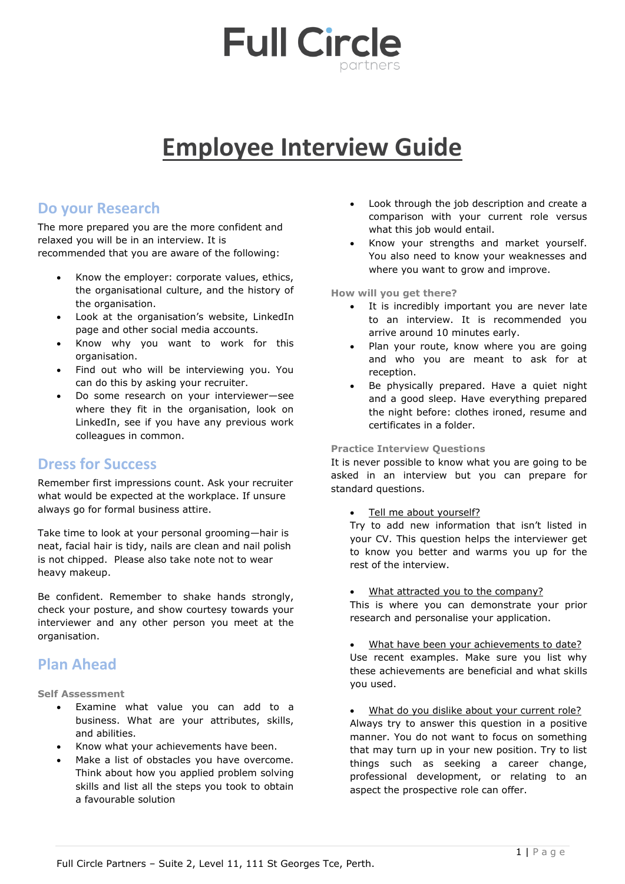

# **Employee Interview Guide**

## **Do your Research**

The more prepared you are the more confident and relaxed you will be in an interview. It is recommended that you are aware of the following:

- Know the employer: corporate values, ethics, the organisational culture, and the history of the organisation.
- Look at the organisation's website, LinkedIn page and other social media accounts.
- Know why you want to work for this organisation.
- Find out who will be interviewing you. You can do this by asking your recruiter.
- Do some research on your interviewer—see where they fit in the organisation, look on LinkedIn, see if you have any previous work colleagues in common.

### **Dress for Success**

Remember first impressions count. Ask your recruiter what would be expected at the workplace. If unsure always go for formal business attire.

Take time to look at your personal grooming—hair is neat, facial hair is tidy, nails are clean and nail polish is not chipped. Please also take note not to wear heavy makeup.

Be confident. Remember to shake hands strongly, check your posture, and show courtesy towards your interviewer and any other person you meet at the organisation.

# **Plan Ahead**

**Self Assessment**

- Examine what value you can add to a business. What are your attributes, skills, and abilities.
- Know what your achievements have been.
- Make a list of obstacles you have overcome. Think about how you applied problem solving skills and list all the steps you took to obtain a favourable solution
- Look through the job description and create a comparison with your current role versus what this job would entail.
- Know your strengths and market yourself. You also need to know your weaknesses and where you want to grow and improve.

**How will you get there?** 

- It is incredibly important you are never late to an interview. It is recommended you arrive around 10 minutes early.
- Plan your route, know where you are going and who you are meant to ask for at reception.
- Be physically prepared. Have a quiet night and a good sleep. Have everything prepared the night before: clothes ironed, resume and certificates in a folder.

#### **Practice Interview Questions**

It is never possible to know what you are going to be asked in an interview but you can prepare for standard questions.

Tell me about yourself?

Try to add new information that isn't listed in your CV. This question helps the interviewer get to know you better and warms you up for the rest of the interview.

- What attracted you to the company? This is where you can demonstrate your prior
- research and personalise your application. What have been your achievements to date?

Use recent examples. Make sure you list why these achievements are beneficial and what skills you used.

What do you dislike about your current role?

Always try to answer this question in a positive manner. You do not want to focus on something that may turn up in your new position. Try to list things such as seeking a career change, professional development, or relating to an aspect the prospective role can offer.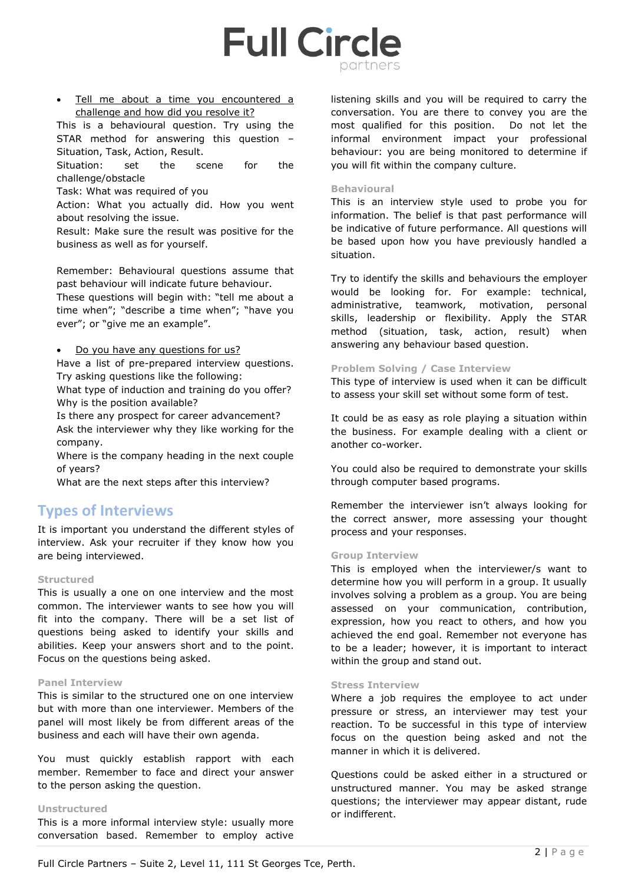

• Tell me about a time you encountered a challenge and how did you resolve it?

This is a behavioural question. Try using the STAR method for answering this question – Situation, Task, Action, Result.

Situation: set the scene for the challenge/obstacle

Task: What was required of you

Action: What you actually did. How you went about resolving the issue.

Result: Make sure the result was positive for the business as well as for yourself.

Remember: Behavioural questions assume that past behaviour will indicate future behaviour.

These questions will begin with: "tell me about a time when"; "describe a time when"; "have you ever"; or "give me an example".

#### Do you have any questions for us?

Have a list of pre-prepared interview questions. Try asking questions like the following:

What type of induction and training do you offer? Why is the position available?

Is there any prospect for career advancement? Ask the interviewer why they like working for the company.

Where is the company heading in the next couple of years?

What are the next steps after this interview?

# **Types of Interviews**

It is important you understand the different styles of interview. Ask your recruiter if they know how you are being interviewed.

#### **Structured**

This is usually a one on one interview and the most common. The interviewer wants to see how you will fit into the company. There will be a set list of questions being asked to identify your skills and abilities. Keep your answers short and to the point. Focus on the questions being asked.

#### **Panel Interview**

This is similar to the structured one on one interview but with more than one interviewer. Members of the panel will most likely be from different areas of the business and each will have their own agenda.

You must quickly establish rapport with each member. Remember to face and direct your answer to the person asking the question.

#### **Unstructured**

This is a more informal interview style: usually more conversation based. Remember to employ active

listening skills and you will be required to carry the conversation. You are there to convey you are the most qualified for this position. Do not let the informal environment impact your professional behaviour: you are being monitored to determine if you will fit within the company culture.

#### **Behavioural**

This is an interview style used to probe you for information. The belief is that past performance will be indicative of future performance. All questions will be based upon how you have previously handled a situation.

Try to identify the skills and behaviours the employer would be looking for. For example: technical, administrative, teamwork, motivation, personal skills, leadership or flexibility. Apply the STAR method (situation, task, action, result) when answering any behaviour based question.

#### **Problem Solving / Case Interview**

This type of interview is used when it can be difficult to assess your skill set without some form of test.

It could be as easy as role playing a situation within the business. For example dealing with a client or another co-worker.

You could also be required to demonstrate your skills through computer based programs.

Remember the interviewer isn't always looking for the correct answer, more assessing your thought process and your responses.

#### **Group Interview**

This is employed when the interviewer/s want to determine how you will perform in a group. It usually involves solving a problem as a group. You are being assessed on your communication, contribution, expression, how you react to others, and how you achieved the end goal. Remember not everyone has to be a leader; however, it is important to interact within the group and stand out.

#### **Stress Interview**

Where a job requires the employee to act under pressure or stress, an interviewer may test your reaction. To be successful in this type of interview focus on the question being asked and not the manner in which it is delivered.

Questions could be asked either in a structured or unstructured manner. You may be asked strange questions; the interviewer may appear distant, rude or indifferent.